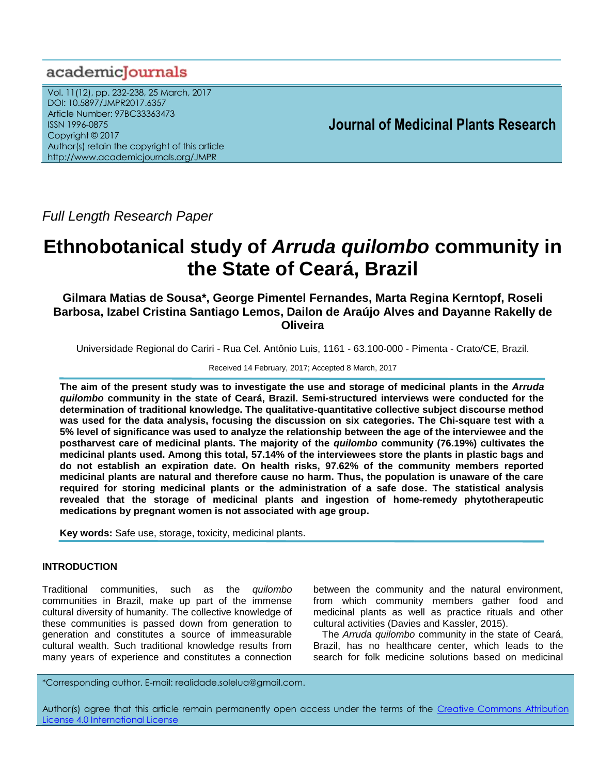# academicJournals

Vol. 11(12), pp. 232-238, 25 March, 2017 DOI: 10.5897/JMPR2017.6357 Article Number: 97BC33363473 ISSN 1996-0875 Copyright © 2017 Author(s) retain the copyright of this article http://www.academicjournals.org/JMPR

 **Journal of Medicinal Plants Research**

*Full Length Research Paper*

# **Ethnobotanical study of** *Arruda quilombo* **community in the State of Ceará, Brazil**

**Gilmara Matias de Sousa\*, George Pimentel Fernandes, Marta Regina Kerntopf, Roseli Barbosa, Izabel Cristina Santiago Lemos, Dailon de Araújo Alves and Dayanne Rakelly de Oliveira**

Universidade Regional do Cariri - Rua Cel. Antônio Luis, 1161 - 63.100-000 - Pimenta - Crato/CE, Brazil.

Received 14 February, 2017; Accepted 8 March, 2017

**The aim of the present study was to investigate the use and storage of medicinal plants in the** *Arruda quilombo* **community in the state of Ceará, Brazil. Semi-structured interviews were conducted for the determination of traditional knowledge. The qualitative-quantitative collective subject discourse method was used for the data analysis, focusing the discussion on six categories. The Chi-square test with a 5% level of significance was used to analyze the relationship between the age of the interviewee and the postharvest care of medicinal plants. The majority of the** *quilombo* **community (76.19%) cultivates the medicinal plants used. Among this total, 57.14% of the interviewees store the plants in plastic bags and do not establish an expiration date. On health risks, 97.62% of the community members reported medicinal plants are natural and therefore cause no harm. Thus, the population is unaware of the care required for storing medicinal plants or the administration of a safe dose. The statistical analysis revealed that the storage of medicinal plants and ingestion of home-remedy phytotherapeutic medications by pregnant women is not associated with age group.**

**Key words:** Safe use, storage, toxicity, medicinal plants.

# **INTRODUCTION**

Traditional communities, such as the *quilombo* communities in Brazil, make up part of the immense cultural diversity of humanity. The collective knowledge of these communities is passed down from generation to generation and constitutes a source of immeasurable cultural wealth. Such traditional knowledge results from many years of experience and constitutes a connection

between the community and the natural environment, from which community members gather food and medicinal plants as well as practice rituals and other cultural activities (Davies and Kassler, 2015).

The *Arruda quilombo* community in the state of Ceará, Brazil, has no healthcare center, which leads to the search for folk medicine solutions based on medicinal

\*Corresponding author. E-mail: realidade.solelua@gmail.com.

Author(s) agree that this article remain permanently open access under the terms of the Creative Commons Attribution License 4.0 [International](http://creativecommons.org/licenses/by/4.0/deed.en_US) License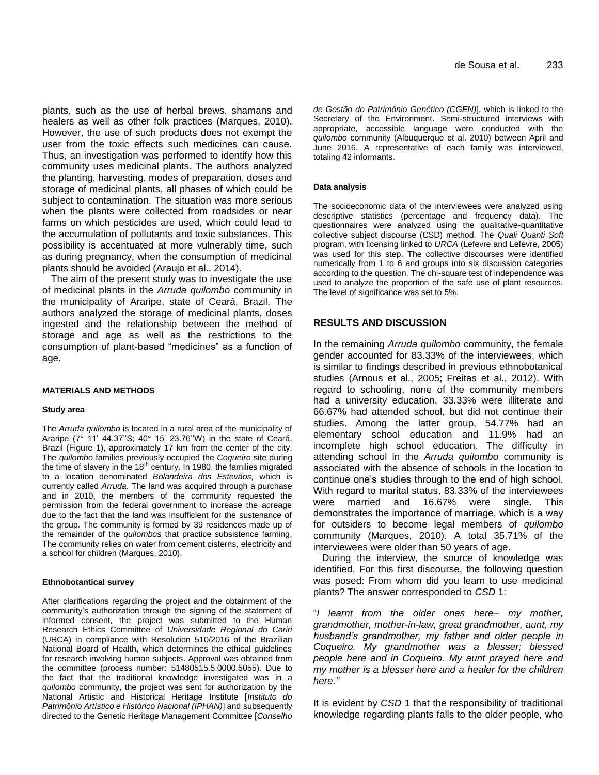plants, such as the use of herbal brews, shamans and healers as well as other folk practices (Marques, 2010). However, the use of such products does not exempt the user from the toxic effects such medicines can cause. Thus, an investigation was performed to identify how this community uses medicinal plants. The authors analyzed the planting, harvesting, modes of preparation, doses and storage of medicinal plants, all phases of which could be subject to contamination. The situation was more serious when the plants were collected from roadsides or near farms on which pesticides are used, which could lead to the accumulation of pollutants and toxic substances. This possibility is accentuated at more vulnerably time, such as during pregnancy, when the consumption of medicinal plants should be avoided (Araujo et al., 2014).

The aim of the present study was to investigate the use of medicinal plants in the *Arruda quilombo* community in the municipality of Araripe, state of Ceará, Brazil. The authors analyzed the storage of medicinal plants, doses ingested and the relationship between the method of storage and age as well as the restrictions to the consumption of plant-based "medicines" as a function of age.

#### **MATERIALS AND METHODS**

#### **Study area**

The *Arruda quilombo* is located in a rural area of the municipality of Araripe (7° 11' 44.37"S; 40° 15' 23.76"W) in the state of Ceará, Brazil (Figure 1), approximately 17 km from the center of the city. The *quilombo* families previously occupied the *Coqueiro* site during the time of slavery in the  $18<sup>th</sup>$  century. In 1980, the families migrated to a location denominated *Bolandeira dos Estevãos,* which is currently called *Arruda*. The land was acquired through a purchase and in 2010, the members of the community requested the permission from the federal government to increase the acreage due to the fact that the land was insufficient for the sustenance of the group. The community is formed by 39 residences made up of the remainder of the *quilombos* that practice subsistence farming. The community relies on water from cement cisterns, electricity and a school for children (Marques, 2010).

#### **Ethnobotantical survey**

After clarifications regarding the project and the obtainment of the community's authorization through the signing of the statement of informed consent, the project was submitted to the Human Research Ethics Committee of *Universidade Regional do Cariri* (URCA) in compliance with Resolution 510/2016 of the Brazilian National Board of Health, which determines the ethical guidelines for research involving human subjects. Approval was obtained from the committee (process number: 51480515.5.0000.5055). Due to the fact that the traditional knowledge investigated was in a *quilombo* community, the project was sent for authorization by the National Artistic and Historical Heritage Institute [*Instituto do Patrimônio Artístico e Histórico Nacional (IPHAN)*] and subsequently directed to the Genetic Heritage Management Committee [*Conselho* *de Gestão do Patrimônio Genético (CGEN)*], which is linked to the Secretary of the Environment. Semi-structured interviews with appropriate, accessible language were conducted with the *quilombo* community (Albuquerque et al. 2010) between April and June 2016. A representative of each family was interviewed, totaling 42 informants.

#### **Data analysis**

The socioeconomic data of the interviewees were analyzed using descriptive statistics (percentage and frequency data). The questionnaires were analyzed using the qualitative-quantitative collective subject discourse (CSD) method. The *Quali Quanti Soft* program, with licensing linked to *URCA* (Lefevre and Lefevre, 2005) was used for this step. The collective discourses were identified numerically from 1 to 6 and groups into six discussion categories according to the question. The chi-square test of independence was used to analyze the proportion of the safe use of plant resources. The level of significance was set to 5%.

# **RESULTS AND DISCUSSION**

In the remaining *Arruda quilombo* community, the female gender accounted for 83.33% of the interviewees, which is similar to findings described in previous ethnobotanical studies (Arnous et al., 2005; Freitas et al., 2012). With regard to schooling, none of the community members had a university education, 33.33% were illiterate and 66.67% had attended school, but did not continue their studies. Among the latter group, 54.77% had an elementary school education and 11.9% had an incomplete high school education. The difficulty in attending school in the *Arruda quilombo* community is associated with the absence of schools in the location to continue one"s studies through to the end of high school. With regard to marital status, 83.33% of the interviewees were married and 16.67% were single. This demonstrates the importance of marriage, which is a way for outsiders to become legal members of *quilombo* community (Marques, 2010). A total 35.71% of the interviewees were older than 50 years of age.

During the interview, the source of knowledge was identified. For this first discourse, the following question was posed: From whom did you learn to use medicinal plants? The answer corresponded to *CSD* 1:

"*I learnt from the older ones here– my mother, grandmother, mother-in-law, great grandmother, aunt, my husband's grandmother, my father and older people in Coqueiro. My grandmother was a blesser; blessed people here and in Coqueiro. My aunt prayed here and my mother is a blesser here and a healer for the children here."*

It is evident by *CSD* 1 that the responsibility of traditional knowledge regarding plants falls to the older people, who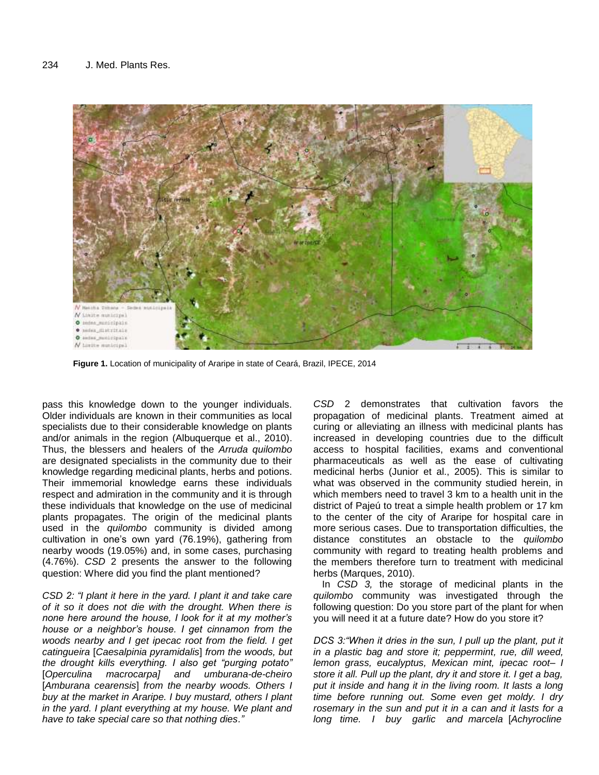

**Figure 1.** Location of municipality of Araripe in state of Ceará, Brazil, IPECE, 2014

pass this knowledge down to the younger individuals. Older individuals are known in their communities as local specialists due to their considerable knowledge on plants and/or animals in the region (Albuquerque et al., 2010). Thus, the blessers and healers of the *Arruda quilombo* are designated specialists in the community due to their knowledge regarding medicinal plants, herbs and potions. Their immemorial knowledge earns these individuals respect and admiration in the community and it is through these individuals that knowledge on the use of medicinal plants propagates. The origin of the medicinal plants used in the *quilombo* community is divided among cultivation in one"s own yard (76.19%), gathering from nearby woods (19.05%) and, in some cases, purchasing (4.76%). *CSD* 2 presents the answer to the following question: Where did you find the plant mentioned?

*CSD 2: "I plant it here in the yard. I plant it and take care of it so it does not die with the drought. When there is none here around the house, I look for it at my mother's house or a neighbor's house. I get cinnamon from the woods nearby and I get ipecac root from the field. I get catingueira* [*Caesalpinia pyramidalis*] *from the woods, but the drought kills everything. I also get "purging potato"*  [*Operculina macrocarpa] and umburana-de-cheiro* [*Amburana cearensis*] *from the nearby woods. Others I buy at the market in Araripe. I buy mustard, others I plant in the yard. I plant everything at my house. We plant and have to take special care so that nothing dies."*

*CSD* 2 demonstrates that cultivation favors the propagation of medicinal plants. Treatment aimed at curing or alleviating an illness with medicinal plants has increased in developing countries due to the difficult access to hospital facilities, exams and conventional pharmaceuticals as well as the ease of cultivating medicinal herbs (Junior et al., 2005). This is similar to what was observed in the community studied herein, in which members need to travel 3 km to a health unit in the district of Pajeú to treat a simple health problem or 17 km to the center of the city of Araripe for hospital care in more serious cases. Due to transportation difficulties, the distance constitutes an obstacle to the *quilombo* community with regard to treating health problems and the members therefore turn to treatment with medicinal herbs (Marques, 2010).

In *CSD 3,* the storage of medicinal plants in the *quilombo* community was investigated through the following question: Do you store part of the plant for when you will need it at a future date? How do you store it?

*DCS 3: "When it dries in the sun, I pull up the plant, put it in a plastic bag and store it; peppermint, rue, dill weed, lemon grass, eucalyptus, Mexican mint, ipecac root– I store it all. Pull up the plant, dry it and store it. I get a bag, put it inside and hang it in the living room. It lasts a long time before running out. Some even get moldy. I dry rosemary in the sun and put it in a can and it lasts for a long time. I buy garlic and marcela* [*Achyrocline*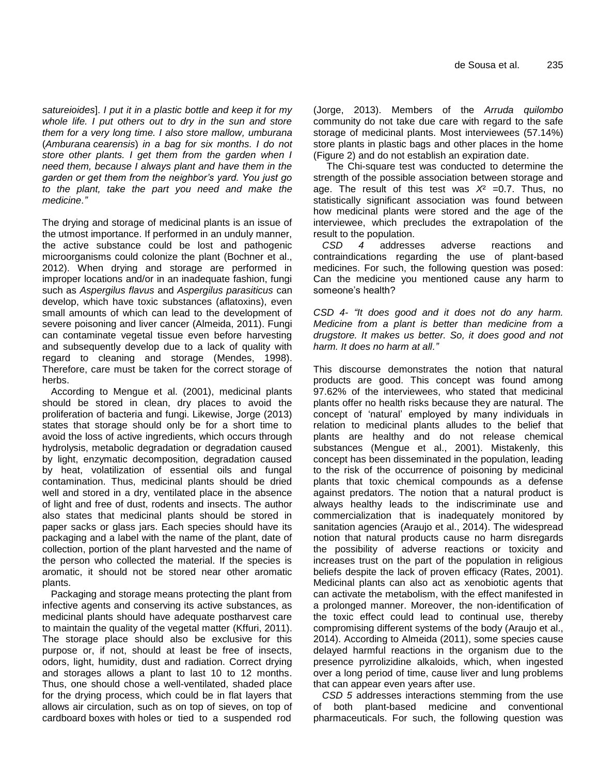*satureioides*]. *I put it in a plastic bottle and keep it for my whole life. I put others out to dry in the sun and store them for a very long time. I also store mallow, umburana* (*Amburana cearensis*) *in a bag for six months. I do not store other plants. I get them from the garden when I need them, because I always plant and have them in the garden or get them from the neighbor's yard. You just go to the plant, take the part you need and make the medicine."*

The drying and storage of medicinal plants is an issue of the utmost importance. If performed in an unduly manner, the active substance could be lost and pathogenic microorganisms could colonize the plant (Bochner et al., 2012). When drying and storage are performed in improper locations and/or in an inadequate fashion, fungi such as *Aspergilus flavus* and *Aspergilus parasiticus* can develop, which have toxic substances (aflatoxins), even small amounts of which can lead to the development of severe poisoning and liver cancer (Almeida, 2011). Fungi can contaminate vegetal tissue even before harvesting and subsequently develop due to a lack of quality with regard to cleaning and storage (Mendes, 1998). Therefore, care must be taken for the correct storage of herbs.

According to Mengue et al. (2001), medicinal plants should be stored in clean, dry places to avoid the proliferation of bacteria and fungi. Likewise, Jorge (2013) states that storage should only be for a short time to avoid the loss of active ingredients, which occurs through hydrolysis, metabolic degradation or degradation caused by light, enzymatic decomposition, degradation caused by heat, volatilization of essential oils and fungal contamination. Thus, medicinal plants should be dried well and stored in a dry, ventilated place in the absence of light and free of dust, rodents and insects. The author also states that medicinal plants should be stored in paper sacks or glass jars. Each species should have its packaging and a label with the name of the plant, date of collection, portion of the plant harvested and the name of the person who collected the material. If the species is aromatic, it should not be stored near other aromatic plants.

Packaging and storage means protecting the plant from infective agents and conserving its active substances, as medicinal plants should have adequate postharvest care to maintain the quality of the vegetal matter (Kffuri, 2011). The storage place should also be exclusive for this purpose or, if not, should at least be free of insects, odors, light, humidity, dust and radiation. Correct drying and storages allows a plant to last 10 to 12 months. Thus, one should chose a well-ventilated, shaded place for the drying process, which could be in flat layers that allows air circulation, such as on top of sieves, on top of cardboard boxes with holes or tied to a suspended rod (Jorge, 2013). Members of the *Arruda quilombo* community do not take due care with regard to the safe storage of medicinal plants. Most interviewees (57.14%) store plants in plastic bags and other places in the home (Figure 2) and do not establish an expiration date.

The Chi-square test was conducted to determine the strength of the possible association between storage and age. The result of this test was *X*² =0.7. Thus, no statistically significant association was found between how medicinal plants were stored and the age of the interviewee, which precludes the extrapolation of the result to the population.

*CSD 4* addresses adverse reactions and contraindications regarding the use of plant-based medicines. For such, the following question was posed: Can the medicine you mentioned cause any harm to someone's health?

*CSD 4- "It does good and it does not do any harm. Medicine from a plant is better than medicine from a drugstore. It makes us better. So, it does good and not harm. It does no harm at all."*

This discourse demonstrates the notion that natural products are good. This concept was found among 97.62% of the interviewees, who stated that medicinal plants offer no health risks because they are natural. The concept of "natural" employed by many individuals in relation to medicinal plants alludes to the belief that plants are healthy and do not release chemical substances (Mengue et al., 2001). Mistakenly, this concept has been disseminated in the population, leading to the risk of the occurrence of poisoning by medicinal plants that toxic chemical compounds as a defense against predators. The notion that a natural product is always healthy leads to the indiscriminate use and commercialization that is inadequately monitored by sanitation agencies (Araujo et al., 2014). The widespread notion that natural products cause no harm disregards the possibility of adverse reactions or toxicity and increases trust on the part of the population in religious beliefs despite the lack of proven efficacy (Rates, 2001). Medicinal plants can also act as xenobiotic agents that can activate the metabolism, with the effect manifested in a prolonged manner. Moreover, the non-identification of the toxic effect could lead to continual use, thereby compromising different systems of the body (Araujo et al., 2014). According to Almeida (2011), some species cause delayed harmful reactions in the organism due to the presence pyrrolizidine alkaloids, which, when ingested over a long period of time, cause liver and lung problems that can appear even years after use.

*CSD 5* addresses interactions stemming from the use of both plant-based medicine and conventional pharmaceuticals. For such, the following question was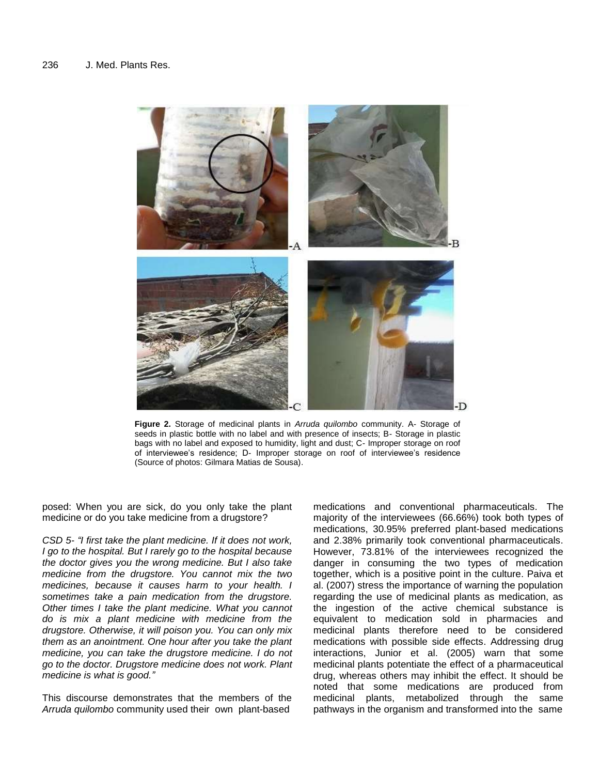

**Figure 2.** Storage of medicinal plants in *Arruda quilombo* community. A- Storage of seeds in plastic bottle with no label and with presence of insects; B- Storage in plastic bags with no label and exposed to humidity, light and dust; C- Improper storage on roof of interviewee"s residence; D- Improper storage on roof of interviewee"s residence (Source of photos: Gilmara Matias de Sousa).

posed: When you are sick, do you only take the plant medicine or do you take medicine from a drugstore?

*CSD 5- "I first take the plant medicine. If it does not work, I go to the hospital. But I rarely go to the hospital because the doctor gives you the wrong medicine. But I also take medicine from the drugstore. You cannot mix the two medicines, because it causes harm to your health. I sometimes take a pain medication from the drugstore. Other times I take the plant medicine. What you cannot do is mix a plant medicine with medicine from the drugstore. Otherwise, it will poison you. You can only mix them as an anointment. One hour after you take the plant medicine, you can take the drugstore medicine. I do not go to the doctor. Drugstore medicine does not work. Plant medicine is what is good."* 

This discourse demonstrates that the members of the *Arruda quilombo* community used their own plant-based

medications and conventional pharmaceuticals. The majority of the interviewees (66.66%) took both types of medications, 30.95% preferred plant-based medications and 2.38% primarily took conventional pharmaceuticals. However, 73.81% of the interviewees recognized the danger in consuming the two types of medication together, which is a positive point in the culture. Paiva et al. (2007) stress the importance of warning the population regarding the use of medicinal plants as medication, as the ingestion of the active chemical substance is equivalent to medication sold in pharmacies and medicinal plants therefore need to be considered medications with possible side effects. Addressing drug interactions, Junior et al. (2005) warn that some medicinal plants potentiate the effect of a pharmaceutical drug, whereas others may inhibit the effect. It should be noted that some medications are produced from medicinal plants, metabolized through the same pathways in the organism and transformed into the same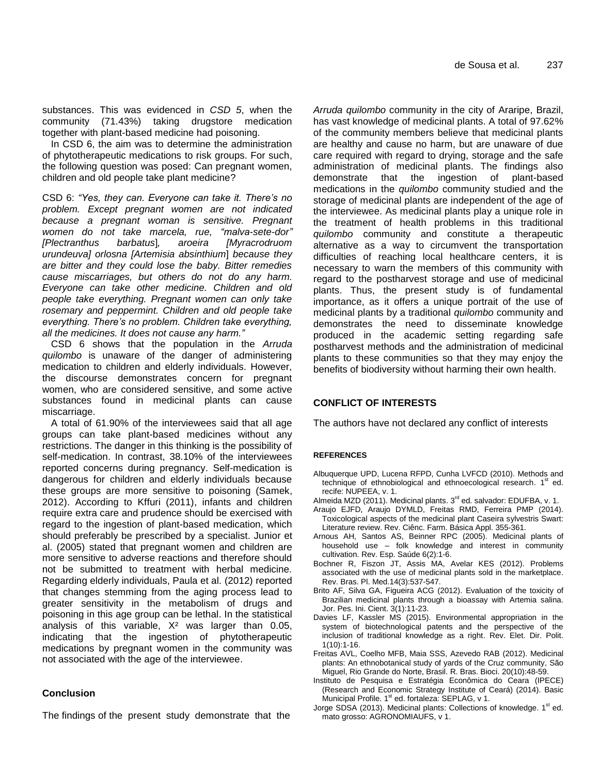substances. This was evidenced in *CSD 5*, when the community (71.43%) taking drugstore medication together with plant-based medicine had poisoning.

In CSD 6, the aim was to determine the administration of phytotherapeutic medications to risk groups. For such, the following question was posed: Can pregnant women, children and old people take plant medicine?

CSD 6: *"Yes, they can. Everyone can take it. There's no problem. Except pregnant women are not indicated because a pregnant woman is sensitive. Pregnant women do not take marcela, rue, "malva-sete-dor" [Plectranthus barbatus*]*, aroeira [Myracrodruom urundeuva] orlosna [Artemisia absinthium*] *because they are bitter and they could lose the baby. Bitter remedies cause miscarriages, but others do not do any harm. Everyone can take other medicine. Children and old people take everything. Pregnant women can only take rosemary and peppermint. Children and old people take everything. There's no problem. Children take everything, all the medicines. It does not cause any harm."* 

CSD 6 shows that the population in the *Arruda quilombo* is unaware of the danger of administering medication to children and elderly individuals. However, the discourse demonstrates concern for pregnant women, who are considered sensitive, and some active substances found in medicinal plants can cause miscarriage.

A total of 61.90% of the interviewees said that all age groups can take plant-based medicines without any restrictions. The danger in this thinking is the possibility of self-medication. In contrast, 38.10% of the interviewees reported concerns during pregnancy. Self-medication is dangerous for children and elderly individuals because these groups are more sensitive to poisoning (Samek, 2012). According to Kffuri (2011), infants and children require extra care and prudence should be exercised with regard to the ingestion of plant-based medication, which should preferably be prescribed by a specialist. Junior et al. (2005) stated that pregnant women and children are more sensitive to adverse reactions and therefore should not be submitted to treatment with herbal medicine. Regarding elderly individuals, Paula et al. (2012) reported that changes stemming from the aging process lead to greater sensitivity in the metabolism of drugs and poisoning in this age group can be lethal. In the statistical analysis of this variable, X² was larger than 0.05, indicating that the ingestion of phytotherapeutic medications by pregnant women in the community was not associated with the age of the interviewee.

# **Conclusion**

The findings of the present study demonstrate that the

*Arruda quilombo* community in the city of Araripe, Brazil, has vast knowledge of medicinal plants. A total of 97.62% of the community members believe that medicinal plants are healthy and cause no harm, but are unaware of due care required with regard to drying, storage and the safe administration of medicinal plants. The findings also demonstrate that the ingestion of plant-based medications in the *quilombo* community studied and the storage of medicinal plants are independent of the age of the interviewee. As medicinal plants play a unique role in the treatment of health problems in this traditional *quilombo* community and constitute a therapeutic alternative as a way to circumvent the transportation difficulties of reaching local healthcare centers, it is necessary to warn the members of this community with regard to the postharvest storage and use of medicinal plants. Thus, the present study is of fundamental importance, as it offers a unique portrait of the use of medicinal plants by a traditional *quilombo* community and demonstrates the need to disseminate knowledge produced in the academic setting regarding safe postharvest methods and the administration of medicinal plants to these communities so that they may enjoy the benefits of biodiversity without harming their own health.

# **CONFLICT OF INTERESTS**

The authors have not declared any conflict of interests

#### **REFERENCES**

- Albuquerque UPD, Lucena RFPD, Cunha LVFCD (2010). Methods and technique of ethnobiological and ethnoecological research.  $1<sup>st</sup>$  ed. recife: NUPEEA, v. 1.
- Almeida MZD (2011). Medicinal plants. 3<sup>rd</sup> ed. salvador: EDUFBA, v. 1.
- Araujo EJFD, Araujo DYMLD, Freitas RMD, Ferreira PMP (2014). Toxicological aspects of the medicinal plant Caseira sylvestris Swart: Literature review. Rev. Ciênc. Farm. Básica Appl. 355-361.
- Arnous AH, Santos AS, Beinner RPC (2005). Medicinal plants of household use – folk knowledge and interest in community cultivation. Rev. Esp. Saúde 6(2):1-6.
- Bochner R, Fiszon JT, Assis MA, Avelar KES (2012). Problems associated with the use of medicinal plants sold in the marketplace. Rev. Bras. Pl. Med.14(3):537-547.
- Brito AF, Silva GA, Figueira ACG (2012). Evaluation of the toxicity of Brazilian medicinal plants through a bioassay with Artemia salina. Jor. Pes. Ini. Cient. 3(1):11-23.
- Davies LF, Kassler MS (2015). Environmental appropriation in the system of biotechnological patents and the perspective of the inclusion of traditional knowledge as a right. Rev. Elet. Dir. Polit. 1(10):1-16.
- Freitas AVL, Coelho MFB, Maia SSS, Azevedo RAB (2012). Medicinal plants: An ethnobotanical study of yards of the Cruz community, São Miguel, Rio Grande do Norte, Brasil. R. Bras. Bioci. 20(10):48-59.
- Instituto de Pesquisa e Estratégia Econômica do Ceara (IPECE) (Research and Economic Strategy Institute of Ceará) (2014). Basic Municipal Profile. 1<sup>st</sup> ed. fortaleza: SEPLAG, v 1.
- Jorge SDSA (2013). Medicinal plants: Collections of knowledge. 1<sup>st</sup> ed. mato grosso: AGRONOMIAUFS, v 1.